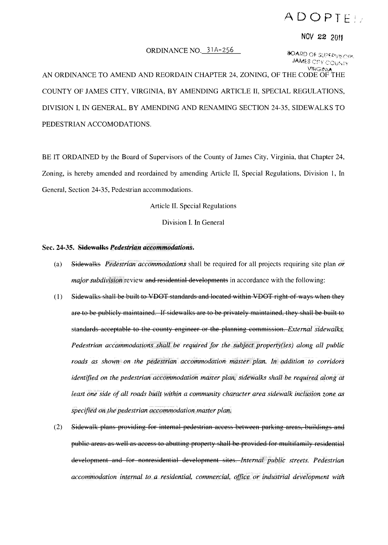## ADOPTE:

## NOV 22 <sup>2011</sup>

## ORDINANCE NO.  $31A-256$  *BOARD Of supervisions*

JAMES CITY COUNTY VIRGINI

AN ORDINANCE TO AMEND AND REORDAIN CHAPTER 24, ZONING, OF THE CODE OF THE COUNTY OF JAMES CITY, VIRGINIA, BY AMENDING ARTICLE II, SPECIAL REGULATIONS, DIVISION I, IN GENERAL, BY AMENDING AND RENAMING SECTION 24-35, SIDEWALKS TO PEDESTRIAN ACCOMODATIONS.

BE IT ORDAINED by the Board of Supervisors of the County of James City, Virginia, that Chapter 24, Zoning, is hereby amended and reordained by amending Article II, Special Regulations, Division 1, In General, Section 24-35, Pedestrian accommodations.

Article II. Special Regulations

Division I. In General

## Sec. 24-35. Sidewalks *Pedestrian accommodations*.

- (a) Sidevialks *Pedestrian accommodations* shall be required for all projects requiring site plan *or major subdivision* review and residential developments in accordance with the following:
- (1) Sidewalks shall be built to VDOT standards and located within VDOT right of ways when they are to be publicly maintained. If sidewalks are to be privately maintained, they shall be built to standards acceptable to the county engineer or the planning commission. *External sidewalks*. *Pedestrian accommodations shall be required for the subject property(ies) along all public roads as shown on the pedestrian accommodation master plan. In addition to corridors identified on the pedestrian accommodation master plan, sidewalks shall be required along at least one side of all roads built within a community character area sidewalk inclusion zone as specified on the pedestrian accommodation master plan.*
- (2) Sidewalk plans providing for internal pedestrian access between parking areas, buildings and public areas as well as access to abutting property shall be provided for multifamily residential development and for nonresidential deyelopment sites. *Internal public streets. Pedestrian accommodation internal to a residential, commercial, office or industrial development with*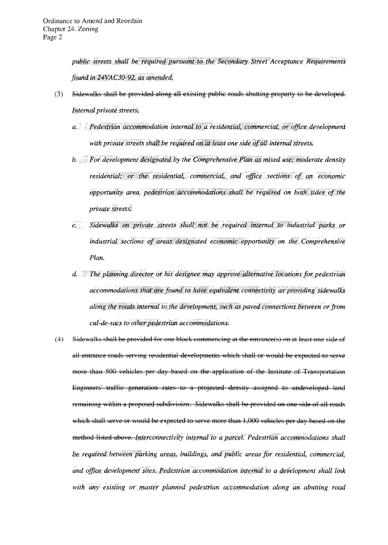public streets shall be required pursuant to the Secondary Street Acceptance Requirements found in 24VAC30-92, as amended.

- Sidewalks shall be provided along all existing public roads abutting property to be developed.  $(3)$ Internal private streets.
	- a. Pedestrian accommodation internal to a residential, commercial, or office development with private streets shall be required on at least one side of all internal streets.
	- b. For development designated by the Comprehensive Plan as mixed use; moderate density residential; or the residential, commercial, and office sections of an economic opportunity area, pedestrian accommodations shall be required on both sides of the private streets.
	- c. Sidewalks on private streets shall not be required internal to industrial parks or industrial sections of areas designated economic opportunity on the Comprehensive Plan.
	- d. The planning director or his designee may approve alternative locations for pedestrian accommodations that are found to have equivalent connectivity as providing sidewalks along the roads internal to the development, such as paved connections between or from cul-de-sacs to other pedestrian accommodations.
- $(4)$ Sidewalks shall be provided for one block commencing at the entrance(s) on at least one side of all entrance roads serving residential developments which shall or would be expected to serve more than 500 vehicles per day based on the application of the Institute of Transportation Engineers' traffic generation rates to a projected density assigned to undeveloped land remaining within a proposed subdivision. Sidewalks shall be provided on one side of all roads which shall serve or would be expected to serve more than 1,000 vehicles per day based on the method listed above. Interconnectivity internal to a parcel. Pedestrian accommodations shall be required between parking areas, buildings, and public areas for residential, commercial, and office development sites. Pedestrian accommodation internal to a development shall link with any existing or master planned pedestrian accommodation along an abutting road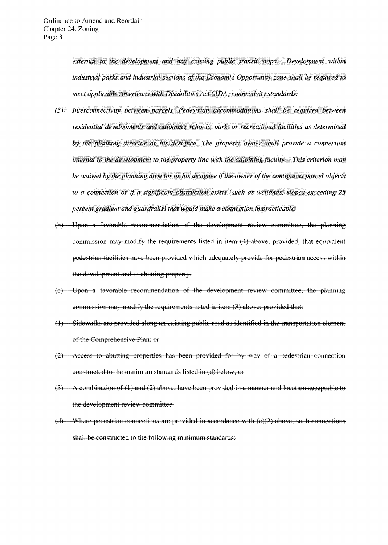external to the development and any existing public transit stops. Development within industrial parks and industrial sections of the Economic Opportunity zone shall be required to meet applicable Americans with Disabilities Act (ADA) connectivity standards.

- $(5)$  Interconnectivity between parcels. Pedestrian accommodations shall be required between residential developments and adjoining schools, park, or recreational facilities as determined by the planning director or his designee. The property owner shall provide a connection internal to the development to the property line with the adjoining facility. This criterion may be waived by the planning director or his designee if the owner of the contiguous parcel objects to a connection or if a significant obstruction exists (such as wetlands, slopes exceeding 25 percent gradient and guardrails) that would make a connection impracticable.
- (b) Upon a favorable recommendation of the development review committee, the planning commission may modify the requirements listed in item (4) above; provided, that equivalent pedestrian facilities have been provided which adequately provide for pedestrian access within the development and to abutting property.
- (c) Upon a favorable recommendation of the development review committee, the planning eommission may modify the requirements listed in item (3) above; provided that:
- (1) Sidewalks are provided along an existing public road as identified in the transportation element of the Comprehensive Plan; or
- (2) Access to abutting properties has been provided for by way of a pedestrian connection eonstructed to the minimum standards listed in (d) below; or
- $(3)$  A combination of (1) and (2) above, have been provided in a manner and location acceptable to the development review committee.
- (d) Where pedestrian connections are provided in accordance with  $(e)(2)$  above, such connections shall be constructed to the following minimum standards: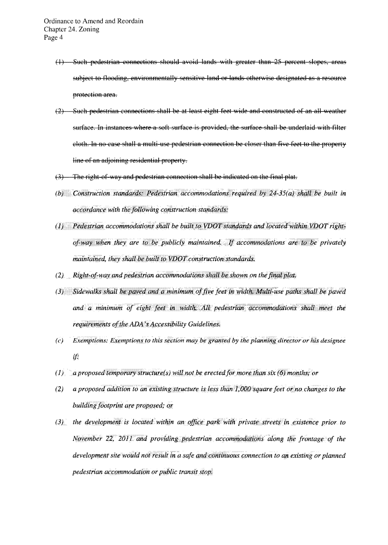- (1) Such pedestrian connections should avoid lands with greater than 25 percent slopes, areas subject to flooding, environmentally sensitive land or lands otherwise designated as a resource protection area.
- $(2)$  Such pedestrian connections shall be at least eight feet wide and constructed of an all weather surface. In instances where a soft surface is provided, the surface shall be underlaid with filter cloth. In no case shall a multi-use pedestrian connection be closer than five feet to the property line of an adjoining residential property.
- $(3)$  The right-of-way and pedestrian connection shall be indicated on the final plat.
- *(b) Construction standards: Pedestrian accommodations required by 24-35(a) shall be built in accordance with the following construction standards:*
- (1) Pedestrian accommodations shall be built to VDOT standards and located within VDOT right*fhey are to be publicly maintained.* If *accommodations are to be privately maintained, they shall be built to VDOT construction standards.*
- *(2)* Right-of-way and pedestrian accommodations shall be shown on the final plat.
- (3) Sidewalks shall be paved and a minimum of five feet in width. Multi-use paths shall be paved *and a minimum of eight feet* in requirements of the ADA's Accessibility Guidelines.
- *(c) Exemptions: Exemptions to this section may be granted by the planning director or his designee* if
- *(1) a proposed temporary structure(s) will not be erected for more than six (6) months; or*
- *(2) a proposed addition to an existing structure is less than 1,000 square feet or no changes to the building footprint are proposed; or*
- (3) the development is located within an office park with private streets in existence prior to *November 22, 2011 and providing pedestrian accommodations along the frontage of the development site would not result in a safe and continuous. connection to an existing or planned pedestrian accommodation or public transit stop'*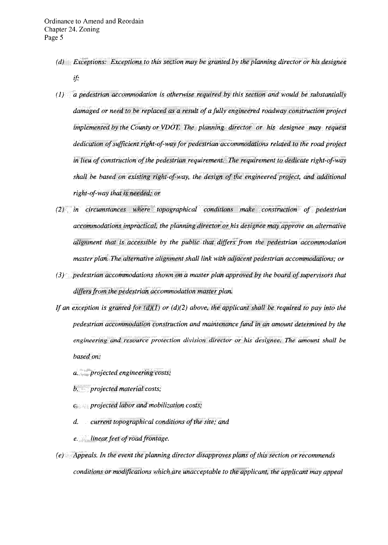- (d) Exceptions: Exceptions to this section may be granted by the planning director or his designee if
- $(1)$  a pedestrian accommodation is otherwise required by this section and would be substantially damaged or need to be replaced as a result of a fully engineered roadway construction project implemented by the County or VDOT. The planning director or his designee may request dedication of sufficient right-of-way for pedestrian accommodations related to the road project in lieu of construction of the pedestrian requirement. The requirement to dedicate right-of-way shall be based on existing right-of-way, the design of the engineered project, and additional right-of-way that is needed; or
- (2) in circumstances where topographical conditions make construction of pedestrian accommodations impractical, the planning director or his designee may approve an alternative alignment that is accessible by the public that differs from the pedestrian accommodation master plan. The alternative alignment shall link with adjacent pedestrian accommodations; or
- $(3)$  pedestrian accommodations shown on a master plan approved by the board of supervisors that differs from the pedestrian accommodation master plan.
- If an exception is granted for  $(d)(1)$  or  $(d)(2)$  above, the applicant shall be required to pay into the pedestrian accommodation construction and maintenance fund in an amount determined by the engineering and resource protection division director or his designee. The amount shall be based on:
	- a projected engineering costs;
	- b. projected material costs;
	- $c_{\ell}$  projected labor and mobilization costs;
	- $d.$  current topographical conditions of the site; and
	- e. linear feet of road frontage.
- (e) Appeals. In the event the planning director disapproves plans of this section or recommends conditions or modifications which are unacceptable to the applicant, the applicant may appeal